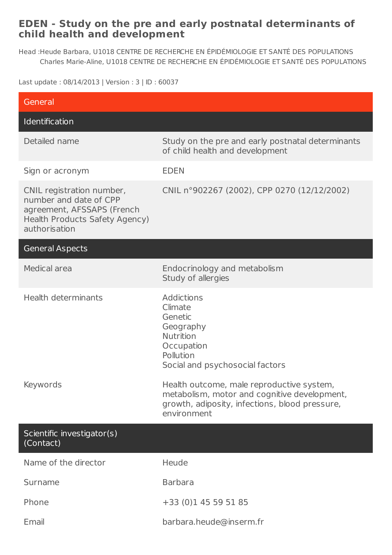## **EDEN - Study on the pre and early postnatal determinants of child health and development**

Head : Heude Barbara, U1018 CENTRE DE RECHERCHE EN ÉPIDÉMIOLOGIE ET SANTÉ DES POPULATIONS Charles Marie-Aline, U1018 CENTRE DE RECHERCHE EN ÉPIDÉMIOLOGIE ET SANTÉ DES POPULATIONS

Last update : 08/14/2013 | Version : 3 | ID : 60037

| General                                                                                                                              |                                                                                                                                                            |
|--------------------------------------------------------------------------------------------------------------------------------------|------------------------------------------------------------------------------------------------------------------------------------------------------------|
| Identification                                                                                                                       |                                                                                                                                                            |
| Detailed name                                                                                                                        | Study on the pre and early postnatal determinants<br>of child health and development                                                                       |
| Sign or acronym                                                                                                                      | <b>EDEN</b>                                                                                                                                                |
| CNIL registration number,<br>number and date of CPP<br>agreement, AFSSAPS (French<br>Health Products Safety Agency)<br>authorisation | CNIL n°902267 (2002), CPP 0270 (12/12/2002)                                                                                                                |
| <b>General Aspects</b>                                                                                                               |                                                                                                                                                            |
| Medical area                                                                                                                         | Endocrinology and metabolism<br>Study of allergies                                                                                                         |
| Health determinants                                                                                                                  | <b>Addictions</b><br>Climate<br>Genetic<br>Geography<br>Nutrition<br>Occupation<br>Pollution<br>Social and psychosocial factors                            |
| Keywords                                                                                                                             | Health outcome, male reproductive system,<br>metabolism, motor and cognitive development,<br>growth, adiposity, infections, blood pressure,<br>environment |
| Scientific investigator(s)<br>(Contact)                                                                                              |                                                                                                                                                            |
| Name of the director                                                                                                                 | Heude                                                                                                                                                      |
| Surname                                                                                                                              | <b>Barbara</b>                                                                                                                                             |
| Phone                                                                                                                                | +33 (0)1 45 59 51 85                                                                                                                                       |
| Email                                                                                                                                | barbara.heude@inserm.fr                                                                                                                                    |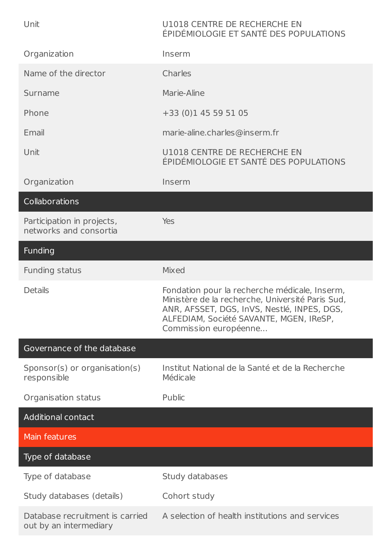| Unit                                                      | U1018 CENTRE DE RECHERCHE EN<br>ÉPIDÉMIOLOGIE ET SANTÉ DES POPULATIONS                                                                                                                                               |
|-----------------------------------------------------------|----------------------------------------------------------------------------------------------------------------------------------------------------------------------------------------------------------------------|
| Organization                                              | Inserm                                                                                                                                                                                                               |
| Name of the director                                      | Charles                                                                                                                                                                                                              |
| Surname                                                   | Marie-Aline                                                                                                                                                                                                          |
| Phone                                                     | +33 (0)1 45 59 51 05                                                                                                                                                                                                 |
| Email                                                     | marie-aline.charles@inserm.fr                                                                                                                                                                                        |
| Unit                                                      | U1018 CENTRE DE RECHERCHE EN<br>ÉPIDÉMIOLOGIE ET SANTÉ DES POPULATIONS                                                                                                                                               |
| Organization                                              | Inserm                                                                                                                                                                                                               |
| Collaborations                                            |                                                                                                                                                                                                                      |
| Participation in projects,<br>networks and consortia      | <b>Yes</b>                                                                                                                                                                                                           |
| Funding                                                   |                                                                                                                                                                                                                      |
| Funding status                                            | <b>Mixed</b>                                                                                                                                                                                                         |
| <b>Details</b>                                            | Fondation pour la recherche médicale, Inserm,<br>Ministère de la recherche, Université Paris Sud,<br>ANR, AFSSET, DGS, InVS, Nestlé, INPES, DGS,<br>ALFEDIAM, Société SAVANTE, MGEN, IReSP,<br>Commission européenne |
| Governance of the database                                |                                                                                                                                                                                                                      |
| Sponsor(s) or organisation(s)<br>responsible              | Institut National de la Santé et de la Recherche<br>Médicale                                                                                                                                                         |
| Organisation status                                       | Public                                                                                                                                                                                                               |
| <b>Additional contact</b>                                 |                                                                                                                                                                                                                      |
| <b>Main features</b>                                      |                                                                                                                                                                                                                      |
| Type of database                                          |                                                                                                                                                                                                                      |
| Type of database                                          | Study databases                                                                                                                                                                                                      |
| Study databases (details)                                 | Cohort study                                                                                                                                                                                                         |
| Database recruitment is carried<br>out by an intermediary | A selection of health institutions and services                                                                                                                                                                      |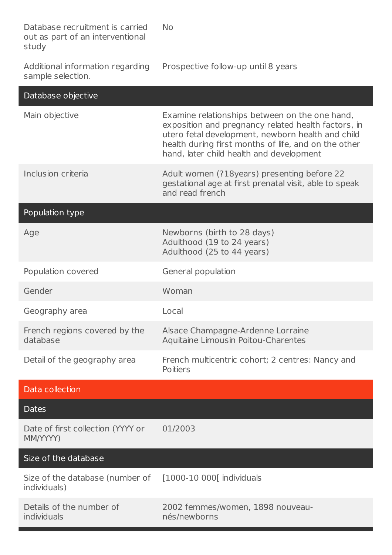Database recruitment is carried out as part of an interventional study No

Additional information regarding sample selection. Prospective follow-up until 8 years

| Database objective                              |                                                                                                                                                                                                                                                                |
|-------------------------------------------------|----------------------------------------------------------------------------------------------------------------------------------------------------------------------------------------------------------------------------------------------------------------|
| Main objective                                  | Examine relationships between on the one hand,<br>exposition and pregnancy related health factors, in<br>utero fetal development, newborn health and child<br>health during first months of life, and on the other<br>hand, later child health and development |
| Inclusion criteria                              | Adult women (?18 years) presenting before 22<br>gestational age at first prenatal visit, able to speak<br>and read french                                                                                                                                      |
| Population type                                 |                                                                                                                                                                                                                                                                |
| Age                                             | Newborns (birth to 28 days)<br>Adulthood (19 to 24 years)<br>Adulthood (25 to 44 years)                                                                                                                                                                        |
| Population covered                              | General population                                                                                                                                                                                                                                             |
| Gender                                          | Woman                                                                                                                                                                                                                                                          |
| Geography area                                  | Local                                                                                                                                                                                                                                                          |
| French regions covered by the<br>database       | Alsace Champagne-Ardenne Lorraine<br>Aquitaine Limous in Poitou-Charentes                                                                                                                                                                                      |
| Detail of the geography area                    | French multicentric cohort; 2 centres: Nancy and<br>Poitiers                                                                                                                                                                                                   |
| Data collection                                 |                                                                                                                                                                                                                                                                |
| <b>Dates</b>                                    |                                                                                                                                                                                                                                                                |
| Date of first collection (YYYY or<br>MM/YYYY)   | 01/2003                                                                                                                                                                                                                                                        |
| Size of the database                            |                                                                                                                                                                                                                                                                |
| Size of the database (number of<br>individuals) | [1000-10 000] individuals                                                                                                                                                                                                                                      |
| Details of the number of<br>individuals         | 2002 femmes/women, 1898 nouveau-<br>nés/newborns                                                                                                                                                                                                               |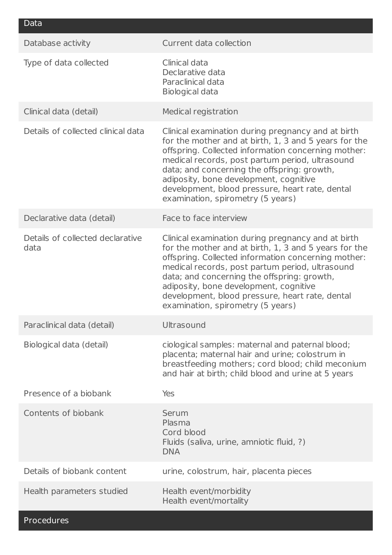| Data                                     |                                                                                                                                                                                                                                                                                                                                                                                                        |
|------------------------------------------|--------------------------------------------------------------------------------------------------------------------------------------------------------------------------------------------------------------------------------------------------------------------------------------------------------------------------------------------------------------------------------------------------------|
| Database activity                        | Current data collection                                                                                                                                                                                                                                                                                                                                                                                |
| Type of data collected                   | Clinical data<br>Declarative data<br>Paraclinical data<br><b>Biological data</b>                                                                                                                                                                                                                                                                                                                       |
| Clinical data (detail)                   | Medical registration                                                                                                                                                                                                                                                                                                                                                                                   |
| Details of collected clinical data       | Clinical examination during pregnancy and at birth<br>for the mother and at birth, 1, 3 and 5 years for the<br>offspring. Collected information concerning mother:<br>medical records, post partum period, ultrasound<br>data; and concerning the offspring: growth,<br>adiposity, bone development, cognitive<br>development, blood pressure, heart rate, dental<br>examination, spirometry (5 years) |
| Declarative data (detail)                | Face to face interview                                                                                                                                                                                                                                                                                                                                                                                 |
| Details of collected declarative<br>data | Clinical examination during pregnancy and at birth<br>for the mother and at birth, 1, 3 and 5 years for the<br>offspring. Collected information concerning mother:<br>medical records, post partum period, ultrasound<br>data; and concerning the offspring: growth,<br>adiposity, bone development, cognitive<br>development, blood pressure, heart rate, dental<br>examination, spirometry (5 years) |
| Paraclinical data (detail)               | Ultrasound                                                                                                                                                                                                                                                                                                                                                                                             |
| Biological data (detail)                 | ciological samples: maternal and paternal blood;<br>placenta; maternal hair and urine; colostrum in<br>breastfeeding mothers; cord blood; child meconium<br>and hair at birth; child blood and urine at 5 years                                                                                                                                                                                        |
| Presence of a biobank                    | <b>Yes</b>                                                                                                                                                                                                                                                                                                                                                                                             |
| Contents of biobank                      | Serum<br>Plasma<br>Cord blood<br>Fluids (saliva, urine, amniotic fluid, ?)<br><b>DNA</b>                                                                                                                                                                                                                                                                                                               |
| Details of biobank content               | urine, colostrum, hair, placenta pieces                                                                                                                                                                                                                                                                                                                                                                |
| Health parameters studied                | Health event/morbidity<br>Health event/mortality                                                                                                                                                                                                                                                                                                                                                       |

Procedures